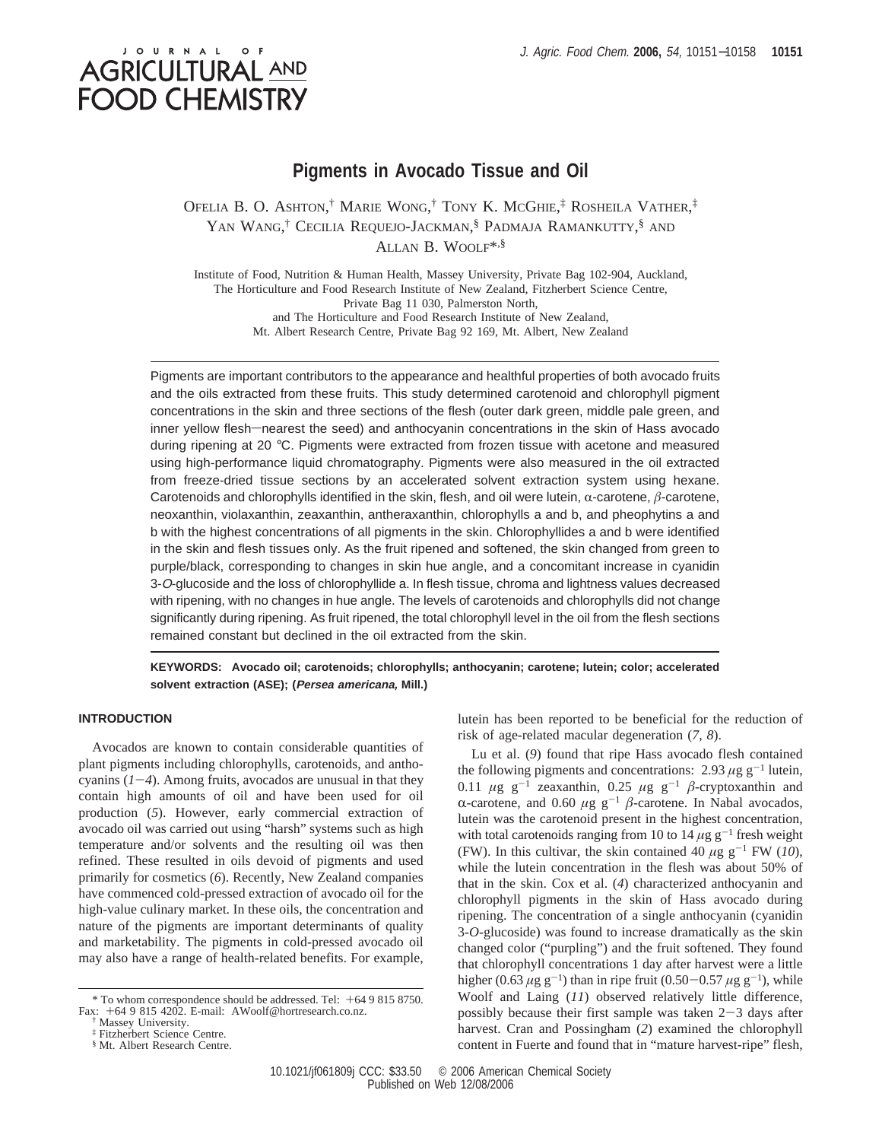# J O U R N A L **AGRICULTURAL AND FOOD CHEMISTRY**

## **Pigments in Avocado Tissue and Oil**

OFELIA B. O. ASHTON, † MARIE WONG, † TONY K. MCGHIE, ‡ ROSHEILA VATHER, ‡ YAN WANG, † CECILIA REQUEJO-JACKMAN, § PADMAJA RAMANKUTTY, § AND ALLAN B. WOOLF\*,§

Institute of Food, Nutrition & Human Health, Massey University, Private Bag 102-904, Auckland, The Horticulture and Food Research Institute of New Zealand, Fitzherbert Science Centre, Private Bag 11 030, Palmerston North, and The Horticulture and Food Research Institute of New Zealand, Mt. Albert Research Centre, Private Bag 92 169, Mt. Albert, New Zealand

Pigments are important contributors to the appearance and healthful properties of both avocado fruits and the oils extracted from these fruits. This study determined carotenoid and chlorophyll pigment concentrations in the skin and three sections of the flesh (outer dark green, middle pale green, and inner yellow flesh-nearest the seed) and anthocyanin concentrations in the skin of Hass avocado during ripening at 20 °C. Pigments were extracted from frozen tissue with acetone and measured using high-performance liquid chromatography. Pigments were also measured in the oil extracted from freeze-dried tissue sections by an accelerated solvent extraction system using hexane. Carotenoids and chlorophylls identified in the skin, flesh, and oil were lutein,  $\alpha$ -carotene,  $\beta$ -carotene, neoxanthin, violaxanthin, zeaxanthin, antheraxanthin, chlorophylls a and b, and pheophytins a and b with the highest concentrations of all pigments in the skin. Chlorophyllides a and b were identified in the skin and flesh tissues only. As the fruit ripened and softened, the skin changed from green to purple/black, corresponding to changes in skin hue angle, and a concomitant increase in cyanidin 3-O-glucoside and the loss of chlorophyllide a. In flesh tissue, chroma and lightness values decreased with ripening, with no changes in hue angle. The levels of carotenoids and chlorophylls did not change significantly during ripening. As fruit ripened, the total chlorophyll level in the oil from the flesh sections remained constant but declined in the oil extracted from the skin.

**KEYWORDS: Avocado oil; carotenoids; chlorophylls; anthocyanin; carotene; lutein; color; accelerated solvent extraction (ASE); (Persea americana, Mill.)**

#### **INTRODUCTION**

Avocados are known to contain considerable quantities of plant pigments including chlorophylls, carotenoids, and anthocyanins  $(1-4)$ . Among fruits, avocados are unusual in that they contain high amounts of oil and have been used for oil production (*5*). However, early commercial extraction of avocado oil was carried out using "harsh" systems such as high temperature and/or solvents and the resulting oil was then refined. These resulted in oils devoid of pigments and used primarily for cosmetics (*6*). Recently, New Zealand companies have commenced cold-pressed extraction of avocado oil for the high-value culinary market. In these oils, the concentration and nature of the pigments are important determinants of quality and marketability. The pigments in cold-pressed avocado oil may also have a range of health-related benefits. For example,

lutein has been reported to be beneficial for the reduction of risk of age-related macular degeneration (*7*, *8*).

Lu et al. (*9*) found that ripe Hass avocado flesh contained the following pigments and concentrations:  $2.93 \mu$ g g<sup>-1</sup> lutein, 0.11  $\mu$ g g<sup>-1</sup> zeaxanthin, 0.25  $\mu$ g g<sup>-1</sup>  $\beta$ -cryptoxanthin and  $\alpha$ -carotene, and 0.60  $\mu$ g g<sup>-1</sup>  $\beta$ -carotene. In Nabal avocados, lutein was the carotenoid present in the highest concentration, with total carotenoids ranging from 10 to 14  $\mu$ g g<sup>-1</sup> fresh weight (FW). In this cultivar, the skin contained 40  $\mu$ g g<sup>-1</sup> FW (10), while the lutein concentration in the flesh was about 50% of that in the skin. Cox et al. (*4*) characterized anthocyanin and chlorophyll pigments in the skin of Hass avocado during ripening. The concentration of a single anthocyanin (cyanidin 3-*O-*glucoside) was found to increase dramatically as the skin changed color ("purpling") and the fruit softened. They found that chlorophyll concentrations 1 day after harvest were a little higher (0.63  $\mu$ g g<sup>-1</sup>) than in ripe fruit (0.50–0.57  $\mu$ g g<sup>-1</sup>), while Woolf and Laing (*11*) observed relatively little difference, possibly because their first sample was taken  $2-3$  days after harvest. Cran and Possingham (*2*) examined the chlorophyll content in Fuerte and found that in "mature harvest-ripe" flesh,

10.1021/jf061809j CCC: \$33.50 © 2006 American Chemical Society Published on Web 12/08/2006

<sup>\*</sup> To whom correspondence should be addressed. Tel: +64 9 815 8750. Fax: +64 9 815 4202. E-mail: AWoolf@hortresearch.co.nz.

<sup>†</sup> Massey University.

<sup>‡</sup> Fitzherbert Science Centre.

<sup>§</sup> Mt. Albert Research Centre.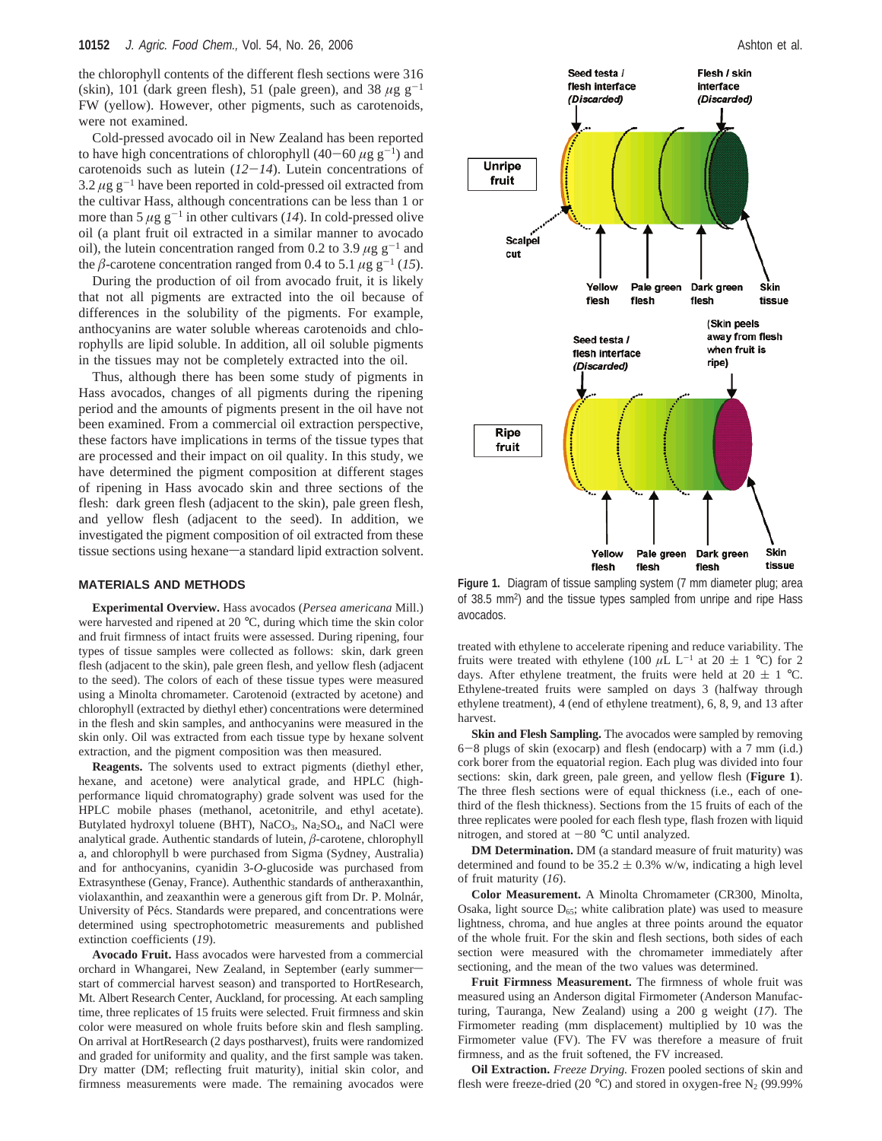the chlorophyll contents of the different flesh sections were 316 (skin), 101 (dark green flesh), 51 (pale green), and 38  $\mu$ g g<sup>-1</sup> FW (yellow). However, other pigments, such as carotenoids, were not examined.

Cold-pressed avocado oil in New Zealand has been reported to have high concentrations of chlorophyll  $(40-60 \mu g g^{-1})$  and carotenoids such as lutein  $(12-14)$ . Lutein concentrations of  $3.2 \mu$ g g<sup>-1</sup> have been reported in cold-pressed oil extracted from the cultivar Hass, although concentrations can be less than 1 or more than 5  $\mu$ g g<sup>-1</sup> in other cultivars (14). In cold-pressed olive oil (a plant fruit oil extracted in a similar manner to avocado oil), the lutein concentration ranged from 0.2 to 3.9  $\mu$ g g<sup>-1</sup> and the  $\beta$ -carotene concentration ranged from 0.4 to 5.1  $\mu$ g g<sup>-1</sup> (*15*).

During the production of oil from avocado fruit, it is likely that not all pigments are extracted into the oil because of differences in the solubility of the pigments. For example, anthocyanins are water soluble whereas carotenoids and chlorophylls are lipid soluble. In addition, all oil soluble pigments in the tissues may not be completely extracted into the oil.

Thus, although there has been some study of pigments in Hass avocados, changes of all pigments during the ripening period and the amounts of pigments present in the oil have not been examined. From a commercial oil extraction perspective, these factors have implications in terms of the tissue types that are processed and their impact on oil quality. In this study, we have determined the pigment composition at different stages of ripening in Hass avocado skin and three sections of the flesh: dark green flesh (adjacent to the skin), pale green flesh, and yellow flesh (adjacent to the seed). In addition, we investigated the pigment composition of oil extracted from these tissue sections using hexane—a standard lipid extraction solvent.

#### **MATERIALS AND METHODS**

**Experimental Overview.** Hass avocados (*Persea americana* Mill.) were harvested and ripened at 20 °C, during which time the skin color and fruit firmness of intact fruits were assessed. During ripening, four types of tissue samples were collected as follows: skin, dark green flesh (adjacent to the skin), pale green flesh, and yellow flesh (adjacent to the seed). The colors of each of these tissue types were measured using a Minolta chromameter. Carotenoid (extracted by acetone) and chlorophyll (extracted by diethyl ether) concentrations were determined in the flesh and skin samples, and anthocyanins were measured in the skin only. Oil was extracted from each tissue type by hexane solvent extraction, and the pigment composition was then measured.

**Reagents.** The solvents used to extract pigments (diethyl ether, hexane, and acetone) were analytical grade, and HPLC (highperformance liquid chromatography) grade solvent was used for the HPLC mobile phases (methanol, acetonitrile, and ethyl acetate). Butylated hydroxyl toluene (BHT), NaCO<sub>3</sub>, Na<sub>2</sub>SO<sub>4</sub>, and NaCl were analytical grade. Authentic standards of lutein, *â*-carotene, chlorophyll a, and chlorophyll b were purchased from Sigma (Sydney, Australia) and for anthocyanins, cyanidin 3-*O*-glucoside was purchased from Extrasynthese (Genay, France). Authenthic standards of antheraxanthin, violaxanthin, and zeaxanthin were a generous gift from Dr. P. Molnár, University of Pécs. Standards were prepared, and concentrations were determined using spectrophotometric measurements and published extinction coefficients (*19*).

**Avocado Fruit.** Hass avocados were harvested from a commercial orchard in Whangarei, New Zealand, in September (early summerstart of commercial harvest season) and transported to HortResearch, Mt. Albert Research Center, Auckland, for processing. At each sampling time, three replicates of 15 fruits were selected. Fruit firmness and skin color were measured on whole fruits before skin and flesh sampling. On arrival at HortResearch (2 days postharvest), fruits were randomized and graded for uniformity and quality, and the first sample was taken. Dry matter (DM; reflecting fruit maturity), initial skin color, and firmness measurements were made. The remaining avocados were



**Figure 1.** Diagram of tissue sampling system (7 mm diameter plug; area of 38.5 mm2) and the tissue types sampled from unripe and ripe Hass avocados.

treated with ethylene to accelerate ripening and reduce variability. The fruits were treated with ethylene (100  $\mu$ L L<sup>-1</sup> at 20  $\pm$  1 °C) for 2 days. After ethylene treatment, the fruits were held at  $20 \pm 1$  °C. Ethylene-treated fruits were sampled on days 3 (halfway through ethylene treatment), 4 (end of ethylene treatment), 6, 8, 9, and 13 after harvest.

**Skin and Flesh Sampling.** The avocados were sampled by removing <sup>6</sup>-8 plugs of skin (exocarp) and flesh (endocarp) with a 7 mm (i.d.) cork borer from the equatorial region. Each plug was divided into four sections: skin, dark green, pale green, and yellow flesh (**Figure 1**). The three flesh sections were of equal thickness (i.e., each of onethird of the flesh thickness). Sections from the 15 fruits of each of the three replicates were pooled for each flesh type, flash frozen with liquid nitrogen, and stored at  $-80$  °C until analyzed.

**DM Determination.** DM (a standard measure of fruit maturity) was determined and found to be  $35.2 \pm 0.3\%$  w/w, indicating a high level of fruit maturity (*16*).

**Color Measurement.** A Minolta Chromameter (CR300, Minolta, Osaka, light source  $D_{65}$ ; white calibration plate) was used to measure lightness, chroma, and hue angles at three points around the equator of the whole fruit. For the skin and flesh sections, both sides of each section were measured with the chromameter immediately after sectioning, and the mean of the two values was determined.

**Fruit Firmness Measurement.** The firmness of whole fruit was measured using an Anderson digital Firmometer (Anderson Manufacturing, Tauranga, New Zealand) using a 200 g weight (*17*). The Firmometer reading (mm displacement) multiplied by 10 was the Firmometer value (FV). The FV was therefore a measure of fruit firmness, and as the fruit softened, the FV increased.

**Oil Extraction.** *Freeze Drying.* Frozen pooled sections of skin and flesh were freeze-dried (20 °C) and stored in oxygen-free  $N_2$  (99.99%)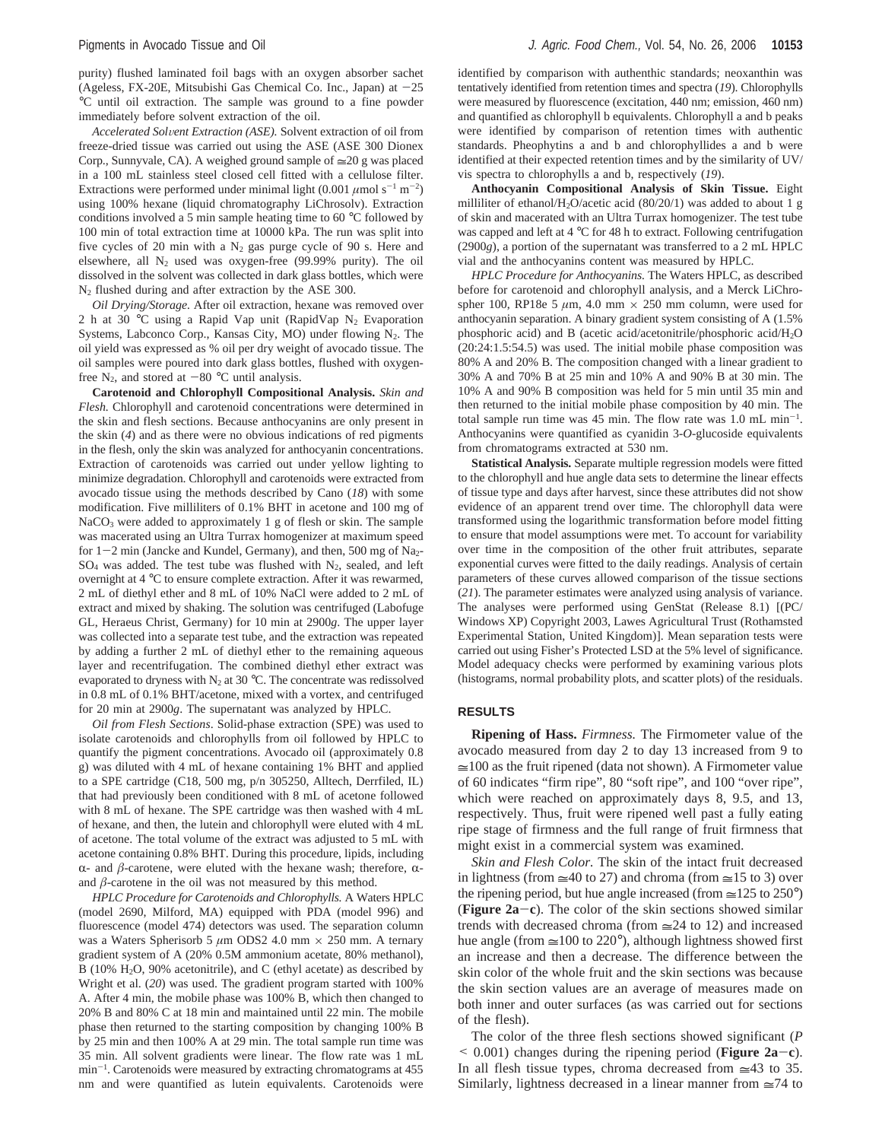purity) flushed laminated foil bags with an oxygen absorber sachet (Ageless, FX-20E, Mitsubishi Gas Chemical Co. Inc., Japan) at  $-25$ °C until oil extraction. The sample was ground to a fine powder immediately before solvent extraction of the oil.

*Accelerated Sol*V*ent Extraction (ASE).* Solvent extraction of oil from freeze-dried tissue was carried out using the ASE (ASE 300 Dionex Corp., Sunnyvale, CA). A weighed ground sample of  $\approx 20$  g was placed in a 100 mL stainless steel closed cell fitted with a cellulose filter. Extractions were performed under minimal light  $(0.001 \mu \text{mol s}^{-1} \text{m}^{-2})$ using 100% hexane (liquid chromatography LiChrosolv). Extraction conditions involved a 5 min sample heating time to 60 °C followed by 100 min of total extraction time at 10000 kPa. The run was split into five cycles of 20 min with a  $N_2$  gas purge cycle of 90 s. Here and elsewhere, all  $N_2$  used was oxygen-free (99.99% purity). The oil dissolved in the solvent was collected in dark glass bottles, which were N2 flushed during and after extraction by the ASE 300.

*Oil Drying/Storage.* After oil extraction, hexane was removed over 2 h at 30 °C using a Rapid Vap unit (RapidVap  $N_2$  Evaporation Systems, Labconco Corp., Kansas City, MO) under flowing  $N_2$ . The oil yield was expressed as % oil per dry weight of avocado tissue. The oil samples were poured into dark glass bottles, flushed with oxygenfree  $N_2$ , and stored at  $-80$  °C until analysis.

**Carotenoid and Chlorophyll Compositional Analysis.** *Skin and Flesh.* Chlorophyll and carotenoid concentrations were determined in the skin and flesh sections. Because anthocyanins are only present in the skin (*4*) and as there were no obvious indications of red pigments in the flesh, only the skin was analyzed for anthocyanin concentrations. Extraction of carotenoids was carried out under yellow lighting to minimize degradation. Chlorophyll and carotenoids were extracted from avocado tissue using the methods described by Cano (*18*) with some modification. Five milliliters of 0.1% BHT in acetone and 100 mg of NaCO<sub>3</sub> were added to approximately 1 g of flesh or skin. The sample was macerated using an Ultra Turrax homogenizer at maximum speed for  $1-2$  min (Jancke and Kundel, Germany), and then, 500 mg of Na2- $SO_4$  was added. The test tube was flushed with  $N_2$ , sealed, and left overnight at 4 °C to ensure complete extraction. After it was rewarmed, 2 mL of diethyl ether and 8 mL of 10% NaCl were added to 2 mL of extract and mixed by shaking. The solution was centrifuged (Labofuge GL, Heraeus Christ, Germany) for 10 min at 2900*g*. The upper layer was collected into a separate test tube, and the extraction was repeated by adding a further 2 mL of diethyl ether to the remaining aqueous layer and recentrifugation. The combined diethyl ether extract was evaporated to dryness with  $N_2$  at 30 °C. The concentrate was redissolved in 0.8 mL of 0.1% BHT/acetone, mixed with a vortex, and centrifuged for 20 min at 2900*g*. The supernatant was analyzed by HPLC.

*Oil from Flesh Sections*. Solid-phase extraction (SPE) was used to isolate carotenoids and chlorophylls from oil followed by HPLC to quantify the pigment concentrations. Avocado oil (approximately 0.8 g) was diluted with 4 mL of hexane containing 1% BHT and applied to a SPE cartridge (C18, 500 mg, p/n 305250, Alltech, Derrfiled, IL) that had previously been conditioned with 8 mL of acetone followed with 8 mL of hexane. The SPE cartridge was then washed with 4 mL of hexane, and then, the lutein and chlorophyll were eluted with 4 mL of acetone. The total volume of the extract was adjusted to 5 mL with acetone containing 0.8% BHT. During this procedure, lipids, including  $\alpha$ - and  $\beta$ -carotene, were eluted with the hexane wash; therefore,  $\alpha$ and *â*-carotene in the oil was not measured by this method.

*HPLC Procedure for Carotenoids and Chlorophylls.* A Waters HPLC (model 2690, Milford, MA) equipped with PDA (model 996) and fluorescence (model 474) detectors was used. The separation column was a Waters Spherisorb 5 *µ*m ODS2 4.0 mm × 250 mm. A ternary gradient system of A (20% 0.5M ammonium acetate, 80% methanol), B (10% H<sub>2</sub>O, 90% acetonitrile), and C (ethyl acetate) as described by Wright et al. (*20*) was used. The gradient program started with 100% A. After 4 min, the mobile phase was 100% B, which then changed to 20% B and 80% C at 18 min and maintained until 22 min. The mobile phase then returned to the starting composition by changing 100% B by 25 min and then 100% A at 29 min. The total sample run time was 35 min. All solvent gradients were linear. The flow rate was 1 mL min-<sup>1</sup> . Carotenoids were measured by extracting chromatograms at 455 nm and were quantified as lutein equivalents. Carotenoids were

identified by comparison with authenthic standards; neoxanthin was tentatively identified from retention times and spectra (*19*). Chlorophylls were measured by fluorescence (excitation, 440 nm; emission, 460 nm) and quantified as chlorophyll b equivalents. Chlorophyll a and b peaks were identified by comparison of retention times with authentic standards. Pheophytins a and b and chlorophyllides a and b were identified at their expected retention times and by the similarity of UV/ vis spectra to chlorophylls a and b, respectively (*19*).

**Anthocyanin Compositional Analysis of Skin Tissue.** Eight milliliter of ethanol/H<sub>2</sub>O/acetic acid (80/20/1) was added to about 1 g of skin and macerated with an Ultra Turrax homogenizer. The test tube was capped and left at 4 °C for 48 h to extract. Following centrifugation (2900*g*), a portion of the supernatant was transferred to a 2 mL HPLC vial and the anthocyanins content was measured by HPLC.

*HPLC Procedure for Anthocyanins.* The Waters HPLC, as described before for carotenoid and chlorophyll analysis, and a Merck LiChrospher 100, RP18e 5  $\mu$ m, 4.0 mm  $\times$  250 mm column, were used for anthocyanin separation. A binary gradient system consisting of A (1.5% phosphoric acid) and B (acetic acid/acetonitrile/phosphoric acid/H2O (20:24:1.5:54.5) was used. The initial mobile phase composition was 80% A and 20% B. The composition changed with a linear gradient to 30% A and 70% B at 25 min and 10% A and 90% B at 30 min. The 10% A and 90% B composition was held for 5 min until 35 min and then returned to the initial mobile phase composition by 40 min. The total sample run time was 45 min. The flow rate was 1.0 mL min-<sup>1</sup> . Anthocyanins were quantified as cyanidin 3-*O*-glucoside equivalents from chromatograms extracted at 530 nm.

**Statistical Analysis.** Separate multiple regression models were fitted to the chlorophyll and hue angle data sets to determine the linear effects of tissue type and days after harvest, since these attributes did not show evidence of an apparent trend over time. The chlorophyll data were transformed using the logarithmic transformation before model fitting to ensure that model assumptions were met. To account for variability over time in the composition of the other fruit attributes, separate exponential curves were fitted to the daily readings. Analysis of certain parameters of these curves allowed comparison of the tissue sections (*21*). The parameter estimates were analyzed using analysis of variance. The analyses were performed using GenStat (Release 8.1) [(PC/ Windows XP) Copyright 2003, Lawes Agricultural Trust (Rothamsted Experimental Station, United Kingdom)]. Mean separation tests were carried out using Fisher's Protected LSD at the 5% level of significance. Model adequacy checks were performed by examining various plots (histograms, normal probability plots, and scatter plots) of the residuals.

### **RESULTS**

**Ripening of Hass.** *Firmness.* The Firmometer value of the avocado measured from day 2 to day 13 increased from 9 to  $\approx$  100 as the fruit ripened (data not shown). A Firmometer value of 60 indicates "firm ripe", 80 "soft ripe", and 100 "over ripe", which were reached on approximately days 8, 9.5, and 13, respectively. Thus, fruit were ripened well past a fully eating ripe stage of firmness and the full range of fruit firmness that might exist in a commercial system was examined.

*Skin and Flesh Color.* The skin of the intact fruit decreased in lightness (from  $\approx 40$  to 27) and chroma (from  $\approx 15$  to 3) over the ripening period, but hue angle increased (from  $\approx$  125 to 250°) (**Figure 2a**-**c**). The color of the skin sections showed similar trends with decreased chroma (from  $\approx$  24 to 12) and increased hue angle (from  $\approx 100$  to 220°), although lightness showed first an increase and then a decrease. The difference between the skin color of the whole fruit and the skin sections was because the skin section values are an average of measures made on both inner and outer surfaces (as was carried out for sections of the flesh).

The color of the three flesh sections showed significant (*P*  $\leq$  0.001) changes during the ripening period (**Figure 2a**-**c**). In all flesh tissue types, chroma decreased from  $\approx 43$  to 35. Similarly, lightness decreased in a linear manner from  $\approx 74$  to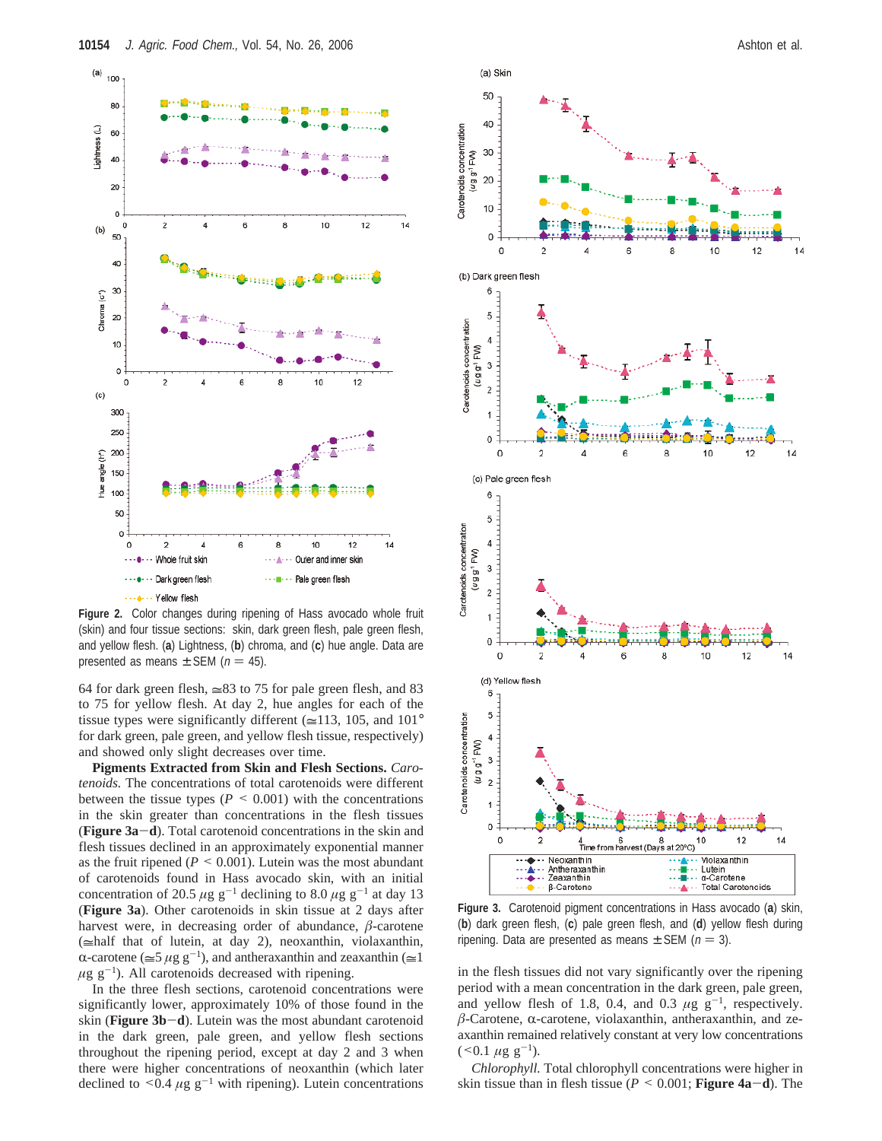

**Figure 2.** Color changes during ripening of Hass avocado whole fruit (skin) and four tissue sections: skin, dark green flesh, pale green flesh, and yellow flesh. (**a**) Lightness, (**b**) chroma, and (**c**) hue angle. Data are presented as means  $\pm$  SEM ( $n = 45$ ).

64 for dark green flesh,  $\approx 83$  to 75 for pale green flesh, and 83 to 75 for yellow flesh. At day 2, hue angles for each of the tissue types were significantly different ( $\approx$ 113, 105, and 101° for dark green, pale green, and yellow flesh tissue, respectively) and showed only slight decreases over time.

**Pigments Extracted from Skin and Flesh Sections.** *Carotenoids.* The concentrations of total carotenoids were different between the tissue types  $(P \le 0.001)$  with the concentrations in the skin greater than concentrations in the flesh tissues (**Figure 3a**-**d**). Total carotenoid concentrations in the skin and flesh tissues declined in an approximately exponential manner as the fruit ripened ( $P \leq 0.001$ ). Lutein was the most abundant of carotenoids found in Hass avocado skin, with an initial concentration of 20.5  $\mu$ g g<sup>-1</sup> declining to 8.0  $\mu$ g g<sup>-1</sup> at day 13 (**Figure 3a**). Other carotenoids in skin tissue at 2 days after harvest were, in decreasing order of abundance,  $\beta$ -carotene  $(\equiv$ half that of lutein, at day 2), neoxanthin, violaxanthin,  $\alpha$ -carotene ( $\leq$ 5  $\mu$ g g<sup>-1</sup>), and antheraxanthin and zeaxanthin ( $\leq$ 1  $\mu$ g g<sup>-1</sup>). All carotenoids decreased with ripening.

In the three flesh sections, carotenoid concentrations were significantly lower, approximately 10% of those found in the skin (**Figure 3b**-**d**). Lutein was the most abundant carotenoid in the dark green, pale green, and yellow flesh sections throughout the ripening period, except at day 2 and 3 when there were higher concentrations of neoxanthin (which later declined to  $\leq 0.4 \mu g g^{-1}$  with ripening). Lutein concentrations



(a) Skin

50

40

30  $(ug g<sup>-1</sup> FW)$ 

20

 $10$ 

0  $\mathbf 0$ 

(b) Dark green flesh

6

5

4

3

 $\overline{2}$ 

1

 $\Omega$ 

 $\,$  6  $\,$ 

5

4

 $\overline{0}$ 

Carotenoids concentration<br>(u.g g<sup>-1</sup> FW)

Carotenoids concentration



**Figure 3.** Carotenoid pigment concentrations in Hass avocado (**a**) skin, (**b**) dark green flesh, (**c**) pale green flesh, and (**d**) yellow flesh during ripening. Data are presented as means  $\pm$  SEM ( $n = 3$ ).

in the flesh tissues did not vary significantly over the ripening period with a mean concentration in the dark green, pale green, and yellow flesh of 1.8, 0.4, and 0.3  $\mu$ g g<sup>-1</sup>, respectively.  $\beta$ -Carotene,  $\alpha$ -carotene, violaxanthin, antheraxanthin, and zeaxanthin remained relatively constant at very low concentrations  $(<0.1 \ \mu g \ g^{-1}).$ 

*Chlorophyll.* Total chlorophyll concentrations were higher in skin tissue than in flesh tissue ( $P \le 0.001$ ; **Figure 4a-d**). The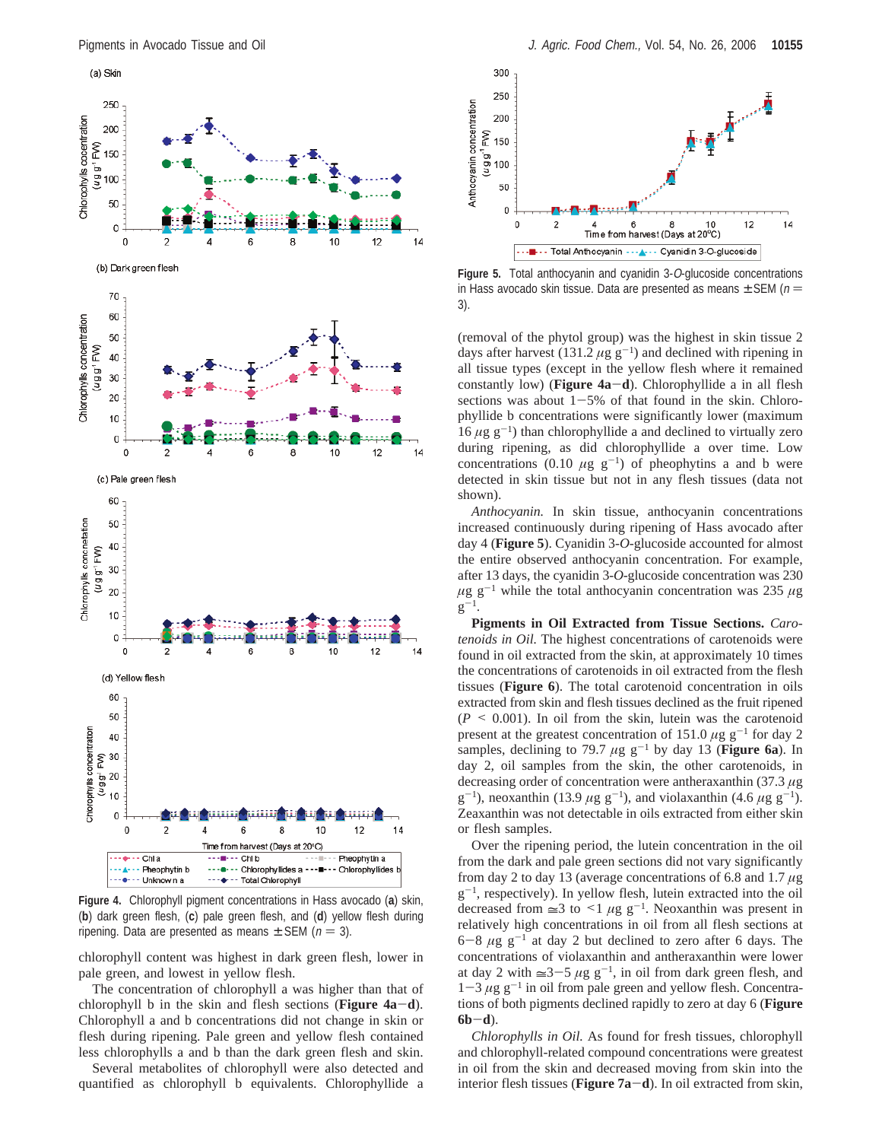

**Figure 4.** Chlorophyll pigment concentrations in Hass avocado (**a**) skin, (**b**) dark green flesh, (**c**) pale green flesh, and (**d**) yellow flesh during ripening. Data are presented as means  $\pm$  SEM ( $n = 3$ ).

chlorophyll content was highest in dark green flesh, lower in pale green, and lowest in yellow flesh.

The concentration of chlorophyll a was higher than that of chlorophyll b in the skin and flesh sections (**Figure 4a**-**d**). Chlorophyll a and b concentrations did not change in skin or flesh during ripening. Pale green and yellow flesh contained less chlorophylls a and b than the dark green flesh and skin.

Several metabolites of chlorophyll were also detected and quantified as chlorophyll b equivalents. Chlorophyllide a



**Figure 5.** Total anthocyanin and cyanidin 3-O-glucoside concentrations in Hass avocado skin tissue. Data are presented as means  $\pm$  SEM ( $n =$ 3).

(removal of the phytol group) was the highest in skin tissue 2 days after harvest (131.2  $\mu$ g g<sup>-1</sup>) and declined with ripening in all tissue types (except in the yellow flesh where it remained constantly low) (**Figure 4a**-**d**). Chlorophyllide a in all flesh sections was about  $1-5%$  of that found in the skin. Chlorophyllide b concentrations were significantly lower (maximum  $16 \mu g g^{-1}$ ) than chlorophyllide a and declined to virtually zero during ripening, as did chlorophyllide a over time. Low concentrations (0.10  $\mu$ g g<sup>-1</sup>) of pheophytins a and b were detected in skin tissue but not in any flesh tissues (data not shown).

*Anthocyanin.* In skin tissue, anthocyanin concentrations increased continuously during ripening of Hass avocado after day 4 (**Figure 5**). Cyanidin 3-*O*-glucoside accounted for almost the entire observed anthocyanin concentration. For example, after 13 days, the cyanidin 3-*O*-glucoside concentration was 230  $\mu$ g g<sup>-1</sup> while the total anthocyanin concentration was 235  $\mu$ g  $g^{-1}$ .

**Pigments in Oil Extracted from Tissue Sections.** *Carotenoids in Oil.* The highest concentrations of carotenoids were found in oil extracted from the skin, at approximately 10 times the concentrations of carotenoids in oil extracted from the flesh tissues (**Figure 6**). The total carotenoid concentration in oils extracted from skin and flesh tissues declined as the fruit ripened  $(P \leq 0.001)$ . In oil from the skin, lutein was the carotenoid present at the greatest concentration of 151.0  $\mu$ g g<sup>-1</sup> for day 2 samples, declining to 79.7  $\mu$ g g<sup>-1</sup> by day 13 (**Figure 6a**). In day 2, oil samples from the skin, the other carotenoids, in decreasing order of concentration were antheraxanthin (37.3 *µ*g  $g^{-1}$ ), neoxanthin (13.9  $\mu$ g g<sup>-1</sup>), and violaxanthin (4.6  $\mu$ g g<sup>-1</sup>). Zeaxanthin was not detectable in oils extracted from either skin or flesh samples.

Over the ripening period, the lutein concentration in the oil from the dark and pale green sections did not vary significantly from day 2 to day 13 (average concentrations of 6.8 and 1.7 *µ*g  $g^{-1}$ , respectively). In yellow flesh, lutein extracted into the oil decreased from  $\approx 3$  to  $\leq 1 \mu$ g g<sup>-1</sup>. Neoxanthin was present in relatively high concentrations in oil from all flesh sections at  $6-8 \mu g g^{-1}$  at day 2 but declined to zero after 6 days. The concentrations of violaxanthin and antheraxanthin were lower at day 2 with  $\approx 3-5 \mu g g^{-1}$ , in oil from dark green flesh, and  $1-3 \mu$ g g<sup>-1</sup> in oil from pale green and yellow flesh. Concentrations of both pigments declined rapidly to zero at day 6 (**Figure 6b**-**d**).

*Chlorophylls in Oil.* As found for fresh tissues, chlorophyll and chlorophyll-related compound concentrations were greatest in oil from the skin and decreased moving from skin into the interior flesh tissues (**Figure 7a**-**d**). In oil extracted from skin,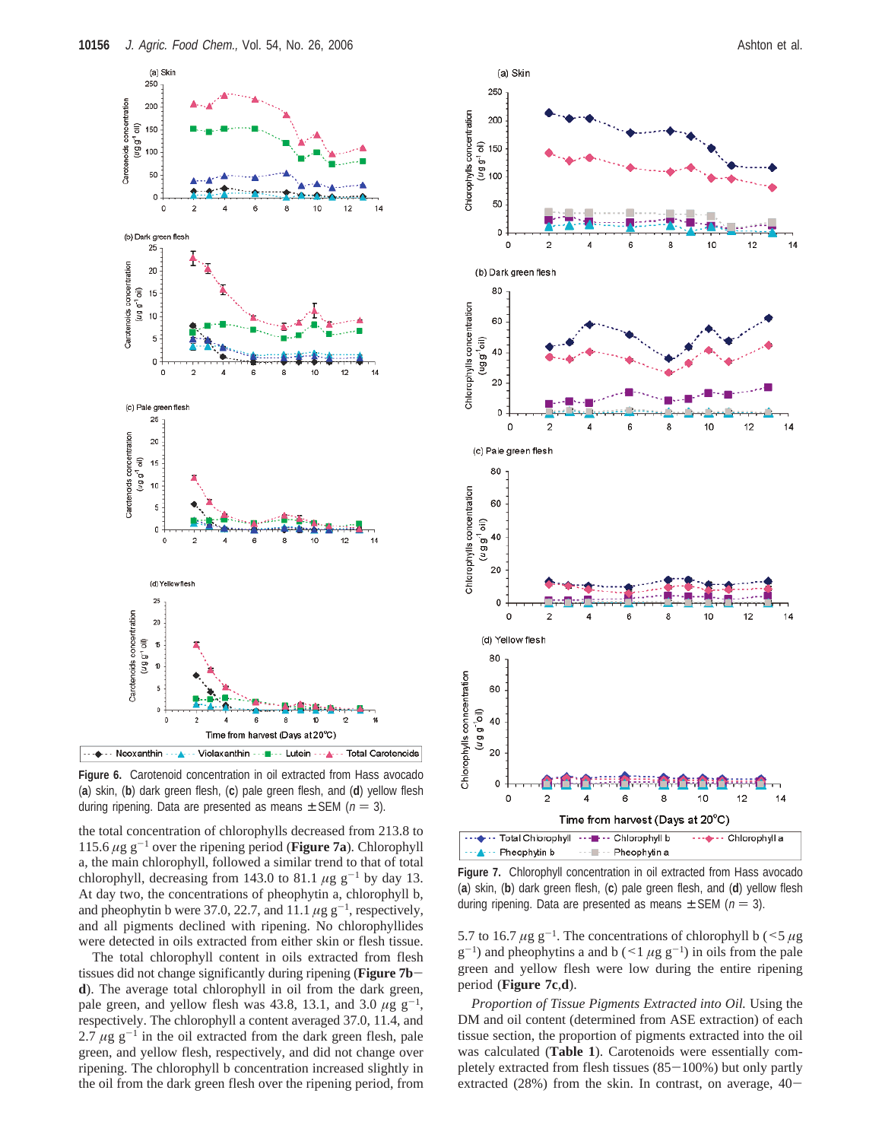

**Figure 6.** Carotenoid concentration in oil extracted from Hass avocado (**a**) skin, (**b**) dark green flesh, (**c**) pale green flesh, and (**d**) yellow flesh during ripening. Data are presented as means  $\pm$  SEM ( $n = 3$ ).

the total concentration of chlorophylls decreased from 213.8 to 115.6  $\mu$ g g<sup>-1</sup> over the ripening period (**Figure 7a**). Chlorophyll a, the main chlorophyll, followed a similar trend to that of total chlorophyll, decreasing from 143.0 to 81.1  $\mu$ g g<sup>-1</sup> by day 13. At day two, the concentrations of pheophytin a, chlorophyll b, and pheophytin b were 37.0, 22.7, and 11.1  $\mu$ g g<sup>-1</sup>, respectively, and all pigments declined with ripening. No chlorophyllides were detected in oils extracted from either skin or flesh tissue.

The total chlorophyll content in oils extracted from flesh tissues did not change significantly during ripening (**Figure 7bd**). The average total chlorophyll in oil from the dark green, pale green, and yellow flesh was 43.8, 13.1, and 3.0  $\mu$ g g<sup>-1</sup>, respectively. The chlorophyll a content averaged 37.0, 11.4, and 2.7  $\mu$ g g<sup>-1</sup> in the oil extracted from the dark green flesh, pale green, and yellow flesh, respectively, and did not change over ripening. The chlorophyll b concentration increased slightly in the oil from the dark green flesh over the ripening period, from



···◆ ·· Chlorophyll a A - - Pheophytin b ··· - Pheophytin a

**Figure 7.** Chlorophyll concentration in oil extracted from Hass avocado (**a**) skin, (**b**) dark green flesh, (**c**) pale green flesh, and (**d**) yellow flesh during ripening. Data are presented as means  $\pm$  SEM ( $n = 3$ ).

5.7 to 16.7  $\mu$ g g<sup>-1</sup>. The concentrations of chlorophyll b (<5  $\mu$ g  $g^{-1}$ ) and pheophytins a and b (<1  $\mu$ g g<sup>-1</sup>) in oils from the pale green and yellow flesh were low during the entire ripening period (**Figure 7c**,**d**).

*Proportion of Tissue Pigments Extracted into Oil.* Using the DM and oil content (determined from ASE extraction) of each tissue section, the proportion of pigments extracted into the oil was calculated (**Table 1**). Carotenoids were essentially completely extracted from flesh tissues  $(85-100%)$  but only partly extracted  $(28%)$  from the skin. In contrast, on average,  $40-$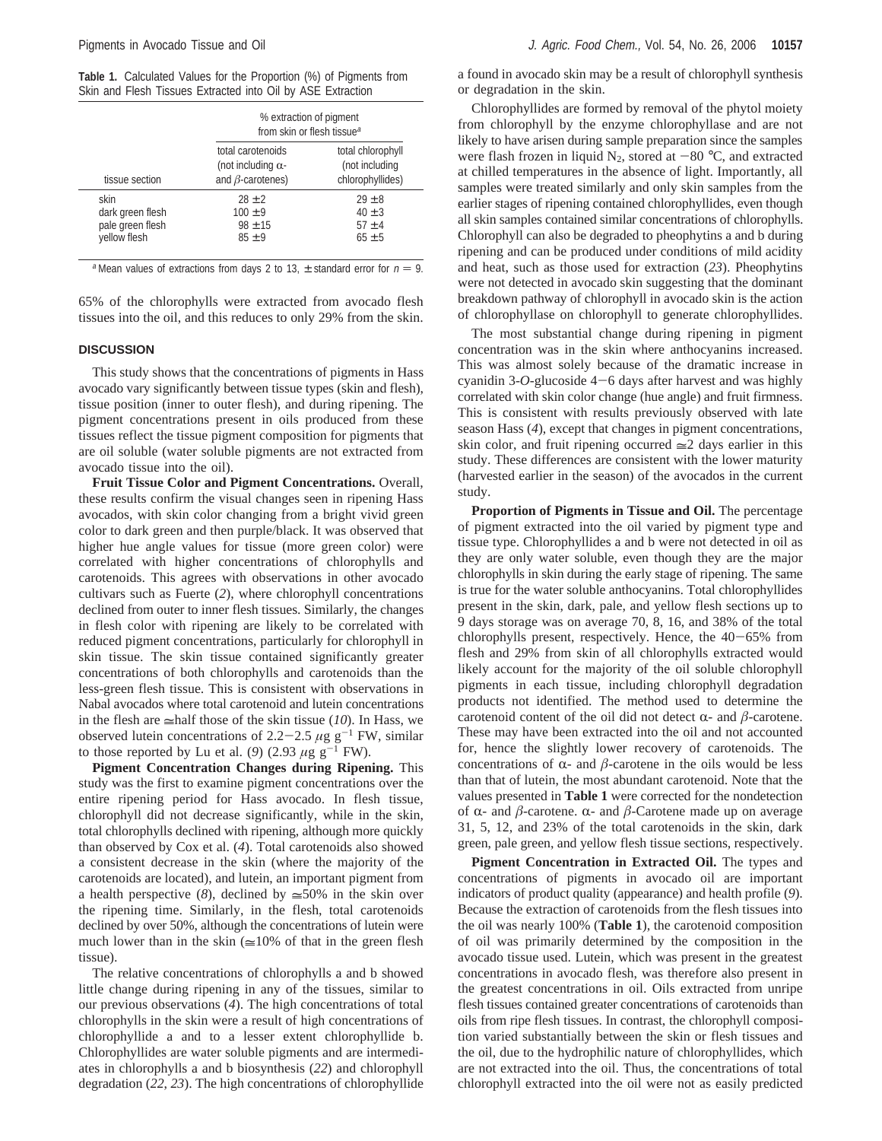**Table 1.** Calculated Values for the Proportion (%) of Pigments from Skin and Flesh Tissues Extracted into Oil by ASE Extraction

| tissue section                                               | % extraction of pigment<br>from skin or flesh tissue <sup>a</sup>         |                                                         |
|--------------------------------------------------------------|---------------------------------------------------------------------------|---------------------------------------------------------|
|                                                              | total carotenoids<br>(not including $\alpha$ -<br>and $\beta$ -carotenes) | total chlorophyll<br>(not including<br>chlorophyllides) |
| skin<br>dark green flesh<br>pale green flesh<br>yellow flesh | $28 + 2$<br>$100 \pm 9$<br>$98 \pm 15$<br>$85 \pm 9$                      | $29 + 8$<br>$40 \pm 3$<br>$57 + 4$<br>$65 + 5$          |

<sup>a</sup> Mean values of extractions from days 2 to 13,  $\pm$  standard error for  $n = 9$ .

65% of the chlorophylls were extracted from avocado flesh tissues into the oil, and this reduces to only 29% from the skin.

#### **DISCUSSION**

This study shows that the concentrations of pigments in Hass avocado vary significantly between tissue types (skin and flesh), tissue position (inner to outer flesh), and during ripening. The pigment concentrations present in oils produced from these tissues reflect the tissue pigment composition for pigments that are oil soluble (water soluble pigments are not extracted from avocado tissue into the oil).

**Fruit Tissue Color and Pigment Concentrations.** Overall, these results confirm the visual changes seen in ripening Hass avocados, with skin color changing from a bright vivid green color to dark green and then purple/black. It was observed that higher hue angle values for tissue (more green color) were correlated with higher concentrations of chlorophylls and carotenoids. This agrees with observations in other avocado cultivars such as Fuerte (*2*), where chlorophyll concentrations declined from outer to inner flesh tissues. Similarly, the changes in flesh color with ripening are likely to be correlated with reduced pigment concentrations, particularly for chlorophyll in skin tissue. The skin tissue contained significantly greater concentrations of both chlorophylls and carotenoids than the less-green flesh tissue. This is consistent with observations in Nabal avocados where total carotenoid and lutein concentrations in the flesh are  $\equiv$ half those of the skin tissue (*10*). In Hass, we observed lutein concentrations of 2.2-2.5  $\mu$ g g<sup>-1</sup> FW, similar to those reported by Lu et al. (9) (2.93  $\mu$ g g<sup>-1</sup> FW).

**Pigment Concentration Changes during Ripening.** This study was the first to examine pigment concentrations over the entire ripening period for Hass avocado. In flesh tissue, chlorophyll did not decrease significantly, while in the skin, total chlorophylls declined with ripening, although more quickly than observed by Cox et al. (*4*). Total carotenoids also showed a consistent decrease in the skin (where the majority of the carotenoids are located), and lutein, an important pigment from a health perspective (8), declined by  $\approx 50\%$  in the skin over the ripening time. Similarly, in the flesh, total carotenoids declined by over 50%, although the concentrations of lutein were much lower than in the skin  $(\approx 10\%$  of that in the green flesh tissue).

The relative concentrations of chlorophylls a and b showed little change during ripening in any of the tissues, similar to our previous observations (*4*). The high concentrations of total chlorophylls in the skin were a result of high concentrations of chlorophyllide a and to a lesser extent chlorophyllide b. Chlorophyllides are water soluble pigments and are intermediates in chlorophylls a and b biosynthesis (*22*) and chlorophyll degradation (*22*, *23*). The high concentrations of chlorophyllide

a found in avocado skin may be a result of chlorophyll synthesis or degradation in the skin.

Chlorophyllides are formed by removal of the phytol moiety from chlorophyll by the enzyme chlorophyllase and are not likely to have arisen during sample preparation since the samples were flash frozen in liquid N<sub>2</sub>, stored at  $-80$  °C, and extracted at chilled temperatures in the absence of light. Importantly, all samples were treated similarly and only skin samples from the earlier stages of ripening contained chlorophyllides, even though all skin samples contained similar concentrations of chlorophylls. Chlorophyll can also be degraded to pheophytins a and b during ripening and can be produced under conditions of mild acidity and heat, such as those used for extraction (*23*). Pheophytins were not detected in avocado skin suggesting that the dominant breakdown pathway of chlorophyll in avocado skin is the action of chlorophyllase on chlorophyll to generate chlorophyllides.

The most substantial change during ripening in pigment concentration was in the skin where anthocyanins increased. This was almost solely because of the dramatic increase in cyanidin 3-*O*-glucoside 4-6 days after harvest and was highly correlated with skin color change (hue angle) and fruit firmness. This is consistent with results previously observed with late season Hass (*4*), except that changes in pigment concentrations, skin color, and fruit ripening occurred  $\approx 2$  days earlier in this study. These differences are consistent with the lower maturity (harvested earlier in the season) of the avocados in the current study.

**Proportion of Pigments in Tissue and Oil.** The percentage of pigment extracted into the oil varied by pigment type and tissue type. Chlorophyllides a and b were not detected in oil as they are only water soluble, even though they are the major chlorophylls in skin during the early stage of ripening. The same is true for the water soluble anthocyanins. Total chlorophyllides present in the skin, dark, pale, and yellow flesh sections up to 9 days storage was on average 70, 8, 16, and 38% of the total chlorophylls present, respectively. Hence, the  $40-65%$  from flesh and 29% from skin of all chlorophylls extracted would likely account for the majority of the oil soluble chlorophyll pigments in each tissue, including chlorophyll degradation products not identified. The method used to determine the carotenoid content of the oil did not detect  $\alpha$ - and  $\beta$ -carotene. These may have been extracted into the oil and not accounted for, hence the slightly lower recovery of carotenoids. The concentrations of  $\alpha$ - and  $\beta$ -carotene in the oils would be less than that of lutein, the most abundant carotenoid. Note that the values presented in **Table 1** were corrected for the nondetection of  $\alpha$ - and  $\beta$ -carotene.  $\alpha$ - and  $\beta$ -Carotene made up on average 31, 5, 12, and 23% of the total carotenoids in the skin, dark green, pale green, and yellow flesh tissue sections, respectively.

**Pigment Concentration in Extracted Oil.** The types and concentrations of pigments in avocado oil are important indicators of product quality (appearance) and health profile (*9*). Because the extraction of carotenoids from the flesh tissues into the oil was nearly 100% (**Table 1**), the carotenoid composition of oil was primarily determined by the composition in the avocado tissue used. Lutein, which was present in the greatest concentrations in avocado flesh, was therefore also present in the greatest concentrations in oil. Oils extracted from unripe flesh tissues contained greater concentrations of carotenoids than oils from ripe flesh tissues. In contrast, the chlorophyll composition varied substantially between the skin or flesh tissues and the oil, due to the hydrophilic nature of chlorophyllides, which are not extracted into the oil. Thus, the concentrations of total chlorophyll extracted into the oil were not as easily predicted